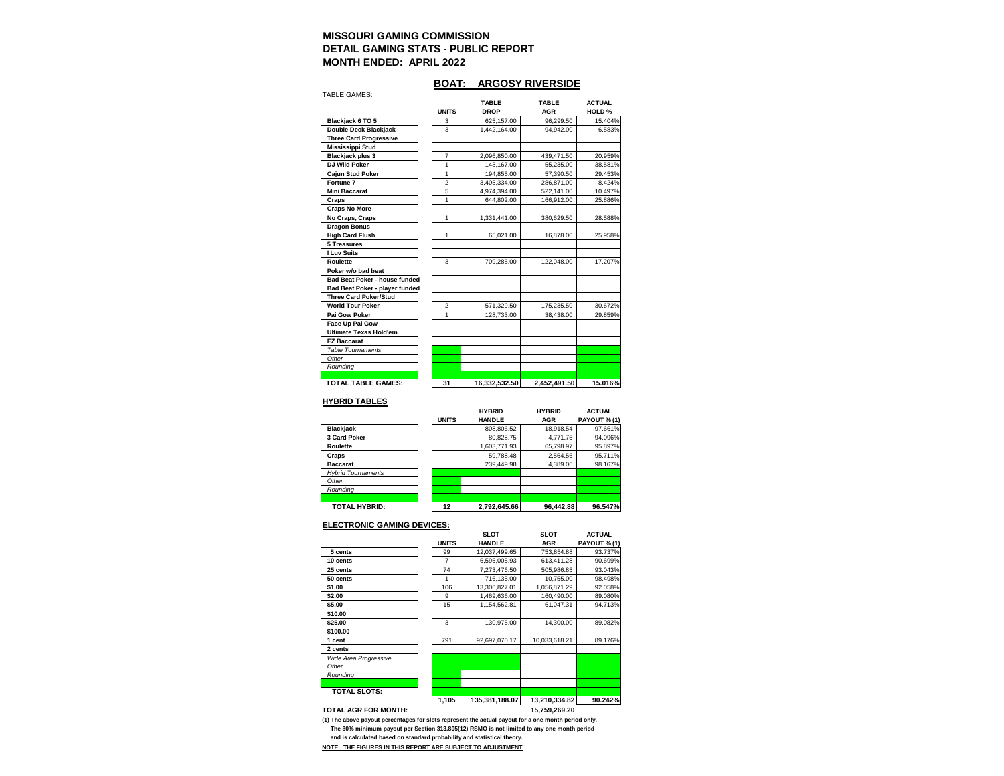#### **BOAT: ARGOSY RIVERSIDE**

| <b>TABLE GAMES:</b>                  |                      |               |              |                   |
|--------------------------------------|----------------------|---------------|--------------|-------------------|
|                                      |                      | <b>TABLE</b>  | <b>TABLE</b> | <b>ACTUAL</b>     |
|                                      | <b>UNITS</b>         | <b>DROP</b>   | <b>AGR</b>   | HOLD <sub>%</sub> |
| Blackjack 6 TO 5                     | 3                    | 625.157.00    | 96.299.50    | 15.404%           |
| Double Deck Blackjack                | 3                    | 1,442,164.00  | 94.942.00    | 6.583%            |
| <b>Three Card Progressive</b>        |                      |               |              |                   |
| <b>Mississippi Stud</b>              |                      |               |              |                   |
| <b>Blackjack plus 3</b>              | $\overline{7}$       | 2,096,850.00  | 439,471.50   | 20.959%           |
| DJ Wild Poker                        | 1                    | 143,167.00    | 55,235.00    | 38.581%           |
| <b>Caiun Stud Poker</b>              | 1                    | 194,855.00    | 57,390.50    | 29.453%           |
| Fortune 7                            | $\overline{2}$       | 3,405,334.00  | 286,871.00   | 8.424%            |
| <b>Mini Baccarat</b>                 | 5                    | 4,974,394.00  | 522,141.00   | 10.497%           |
| Craps                                | 1                    | 644,802.00    | 166,912.00   | 25.886%           |
| <b>Craps No More</b>                 |                      |               |              |                   |
| No Craps, Craps                      | 1                    | 1,331,441.00  | 380,629.50   | 28.588%           |
| <b>Dragon Bonus</b>                  |                      |               |              |                   |
| <b>High Card Flush</b>               | $\ddot{\phantom{0}}$ | 65,021.00     | 16,878.00    | 25.958%           |
| 5 Treasures                          |                      |               |              |                   |
| <b>I Luv Suits</b>                   |                      |               |              |                   |
| Roulette                             | 3                    | 709,285.00    | 122,048.00   | 17.207%           |
| Poker w/o bad beat                   |                      |               |              |                   |
| <b>Bad Beat Poker - house funded</b> |                      |               |              |                   |
| Bad Beat Poker - player funded       |                      |               |              |                   |
| <b>Three Card Poker/Stud</b>         |                      |               |              |                   |
| <b>World Tour Poker</b>              | $\overline{2}$       | 571,329.50    | 175,235.50   | 30.672%           |
| Pai Gow Poker                        | 1                    | 128,733.00    | 38,438.00    | 29.859%           |
| Face Up Pai Gow                      |                      |               |              |                   |
| <b>Ultimate Texas Hold'em</b>        |                      |               |              |                   |
| <b>EZ Baccarat</b>                   |                      |               |              |                   |
| <b>Table Tournaments</b>             |                      |               |              |                   |
| Other                                |                      |               |              |                   |
| Rounding                             |                      |               |              |                   |
|                                      |                      |               |              |                   |
| <b>TOTAL TABLE GAMES:</b>            | 31                   | 16,332,532.50 | 2.452.491.50 | 15.016%           |

#### **HYBRID TABLES**

|                           |              | <b>HYBRID</b> | <b>HYBRID</b> | <b>ACTUAL</b>       |
|---------------------------|--------------|---------------|---------------|---------------------|
|                           | <b>UNITS</b> | <b>HANDLE</b> | <b>AGR</b>    | <b>PAYOUT % (1)</b> |
| <b>Blackjack</b>          |              | 808,806.52    | 18,918.54     | 97.661%             |
| 3 Card Poker              |              | 80.828.75     | 4.771.75      | 94.096%             |
| Roulette                  |              | 1,603,771.93  | 65.798.97     | 95.897%             |
| Craps                     |              | 59.788.48     | 2.564.56      | 95.711%             |
| <b>Baccarat</b>           |              | 239.449.98    | 4.389.06      | 98.167%             |
| <b>Hybrid Tournaments</b> |              |               |               |                     |
| Other                     |              |               |               |                     |
| Roundina                  |              |               |               |                     |
|                           |              |               |               |                     |
| <b>TOTAL HYBRID:</b>      | 12           | 2,792,645.66  | 96.442.88     | 96.547%             |

#### **ELECTRONIC GAMING DEVICES:**

|                             |              | <b>SLOT</b>    | <b>SLOT</b>   | <b>ACTUAL</b>       |
|-----------------------------|--------------|----------------|---------------|---------------------|
|                             | <b>UNITS</b> | <b>HANDLE</b>  | <b>AGR</b>    | <b>PAYOUT % (1)</b> |
| 5 cents                     | 99           | 12,037,499.65  | 753,854.88    | 93.737%             |
| 10 cents                    | 7            | 6,595,005.93   | 613.411.28    | 90.699%             |
| 25 cents                    | 74           | 7,273,476.50   | 505,986.85    | 93.043%             |
| 50 cents                    | 1            | 716.135.00     | 10.755.00     | 98.498%             |
| \$1.00                      | 106          | 13.306.827.01  | 1,056,871.29  | 92.058%             |
| \$2.00                      | 9            | 1,469,636.00   | 160.490.00    | 89.080%             |
| \$5.00                      | 15           | 1,154,562.81   | 61.047.31     | 94.713%             |
| \$10.00                     |              |                |               |                     |
| \$25.00                     | 3            | 130.975.00     | 14.300.00     | 89.082%             |
| \$100.00                    |              |                |               |                     |
| 1 cent                      | 791          | 92,697,070.17  | 10.033.618.21 | 89.176%             |
| 2 cents                     |              |                |               |                     |
| Wide Area Progressive       |              |                |               |                     |
| Other                       |              |                |               |                     |
| Rounding                    |              |                |               |                     |
|                             |              |                |               |                     |
| <b>TOTAL SLOTS:</b>         |              |                |               |                     |
|                             | 1,105        | 135.381.188.07 | 13,210,334.82 | 90.242%             |
| <b>TOTAL AGR FOR MONTH:</b> |              |                | 15,759,269.20 |                     |

**(1) The above payout percentages for slots represent the actual payout for a one month period only. The 80% minimum payout per Section 313.805(12) RSMO is not limited to any one month period and is calculated based on standard probability and statistical theory.**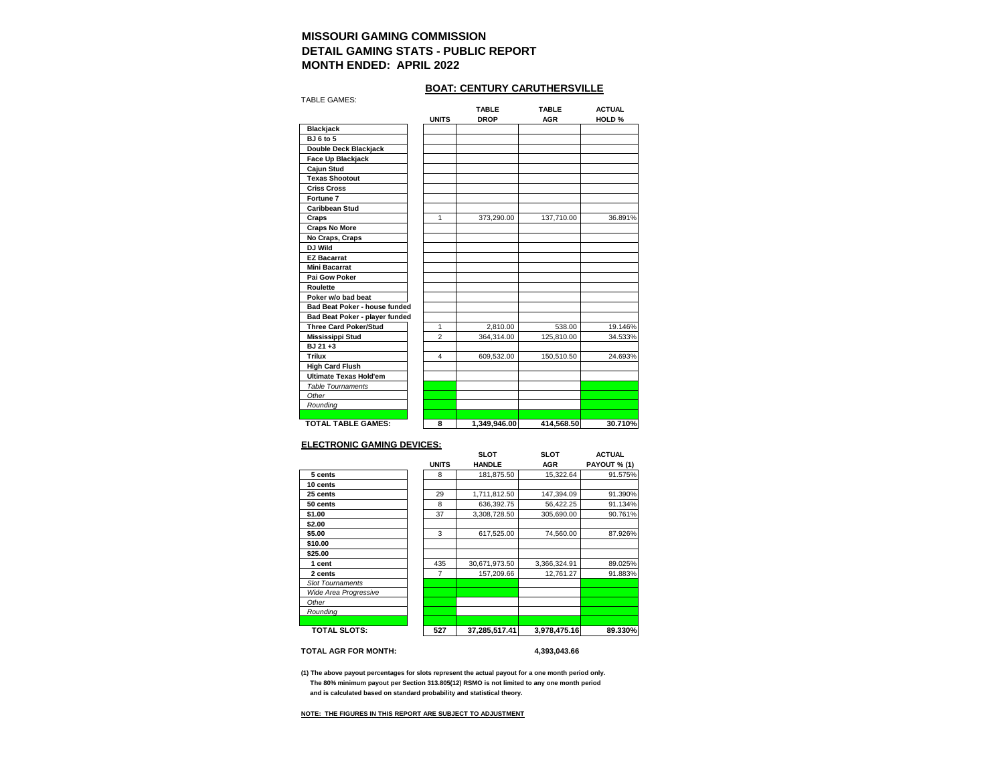#### **BOAT: CENTURY CARUTHERSVILLE**

| <b>TABLE GAMES:</b>            |                |              |              |               |
|--------------------------------|----------------|--------------|--------------|---------------|
|                                |                | <b>TABLE</b> | <b>TABLE</b> | <b>ACTUAL</b> |
|                                | <b>UNITS</b>   | <b>DROP</b>  | <b>AGR</b>   | HOLD %        |
| Blackjack                      |                |              |              |               |
| <b>BJ</b> 6 to 5               |                |              |              |               |
| Double Deck Blackjack          |                |              |              |               |
| Face Up Blackjack              |                |              |              |               |
| Cajun Stud                     |                |              |              |               |
| <b>Texas Shootout</b>          |                |              |              |               |
| <b>Criss Cross</b>             |                |              |              |               |
| Fortune 7                      |                |              |              |               |
| <b>Caribbean Stud</b>          |                |              |              |               |
| Craps                          | 1              | 373,290.00   | 137,710.00   | 36.891%       |
| Craps No More                  |                |              |              |               |
| No Craps, Craps                |                |              |              |               |
| DJ Wild                        |                |              |              |               |
| <b>EZ Bacarrat</b>             |                |              |              |               |
| <b>Mini Bacarrat</b>           |                |              |              |               |
| Pai Gow Poker                  |                |              |              |               |
| Roulette                       |                |              |              |               |
| Poker w/o bad beat             |                |              |              |               |
| Bad Beat Poker - house funded  |                |              |              |               |
| Bad Beat Poker - player funded |                |              |              |               |
| <b>Three Card Poker/Stud</b>   | 1              | 2,810.00     | 538.00       | 19.146%       |
| <b>Mississippi Stud</b>        | $\overline{2}$ | 364,314.00   | 125,810.00   | 34.533%       |
| BJ 21+3                        |                |              |              |               |
| Trilux                         | 4              | 609,532.00   | 150,510.50   | 24.693%       |
| <b>High Card Flush</b>         |                |              |              |               |
| <b>Ultimate Texas Hold'em</b>  |                |              |              |               |
| <b>Table Tournaments</b>       |                |              |              |               |
| Other                          |                |              |              |               |
| Rounding                       |                |              |              |               |
|                                |                |              |              |               |
| <b>TOTAL TABLE GAMES:</b>      | 8              | 1,349,946.00 | 414,568.50   | 30.710%       |

#### **ELECTRONIC GAMING DEVICES:**

|                         |              | <b>SLOT</b>   | <b>SLOT</b>  | <b>ACTUAL</b>       |
|-------------------------|--------------|---------------|--------------|---------------------|
|                         | <b>UNITS</b> | <b>HANDLE</b> | <b>AGR</b>   | <b>PAYOUT % (1)</b> |
| 5 cents                 | 8            | 181.875.50    | 15.322.64    | 91.575%             |
| 10 cents                |              |               |              |                     |
| 25 cents                | 29           | 1,711,812.50  | 147,394.09   | 91.390%             |
| 50 cents                | 8            | 636.392.75    | 56.422.25    | 91.134%             |
| \$1.00                  | 37           | 3,308,728.50  | 305,690.00   | 90.761%             |
| \$2.00                  |              |               |              |                     |
| \$5.00                  | 3            | 617,525.00    | 74,560.00    | 87.926%             |
| \$10.00                 |              |               |              |                     |
| \$25.00                 |              |               |              |                     |
| 1 cent                  | 435          | 30,671,973.50 | 3,366,324.91 | 89.025%             |
| 2 cents                 | 7            | 157,209.66    | 12.761.27    | 91.883%             |
| <b>Slot Tournaments</b> |              |               |              |                     |
| Wide Area Progressive   |              |               |              |                     |
| Other                   |              |               |              |                     |
| Rounding                |              |               |              |                     |
|                         |              |               |              |                     |
| <b>TOTAL SLOTS:</b>     | 527          | 37.285.517.41 | 3,978,475.16 | 89.330%             |

**TOTAL AGR FOR MONTH: 4,393,043.66**

**(1) The above payout percentages for slots represent the actual payout for a one month period only. The 80% minimum payout per Section 313.805(12) RSMO is not limited to any one month period and is calculated based on standard probability and statistical theory.**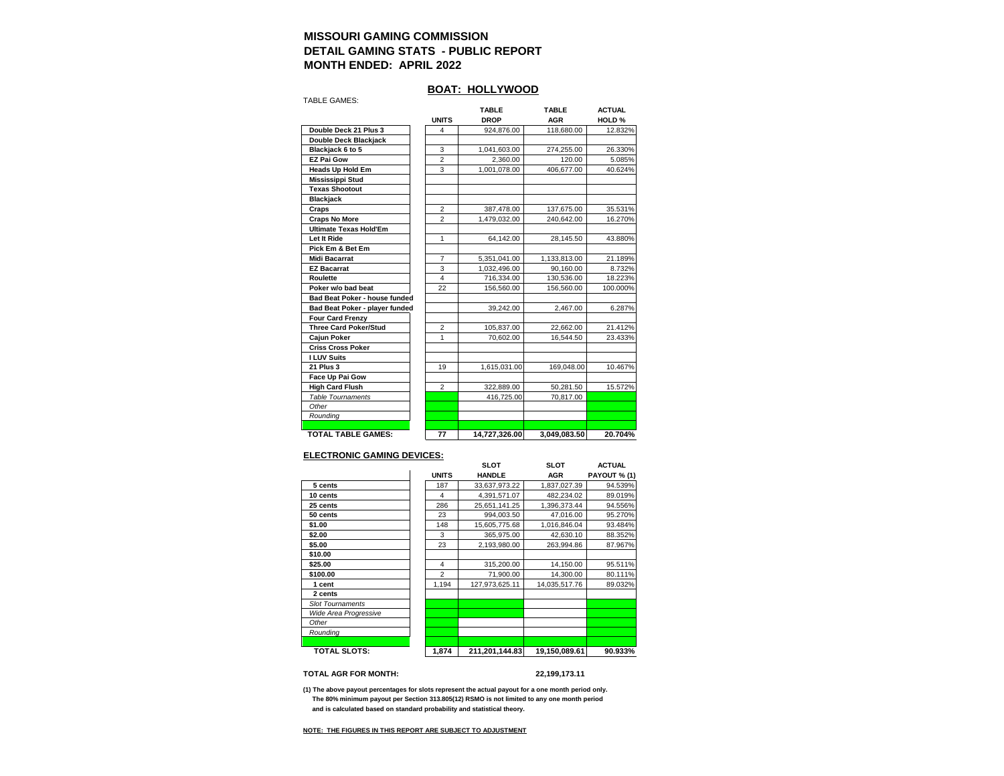## **BOAT: HOLLYWOOD**

| TABLE GAMES:                   |                         |                             |                            |                         |
|--------------------------------|-------------------------|-----------------------------|----------------------------|-------------------------|
|                                | <b>UNITS</b>            | <b>TABLE</b><br><b>DROP</b> | <b>TABLE</b><br><b>AGR</b> | <b>ACTUAL</b><br>HOLD % |
| Double Deck 21 Plus 3          | $\overline{4}$          | 924,876.00                  | 118,680.00                 | 12.832%                 |
| Double Deck Blackjack          |                         |                             |                            |                         |
| Blackjack 6 to 5               | 3                       | 1,041,603.00                | 274,255.00                 | 26.330%                 |
| <b>EZ Pai Gow</b>              | $\overline{2}$          | 2,360.00                    | 120.00                     | 5.085%                  |
| <b>Heads Up Hold Em</b>        | 3                       | 1,001,078.00                | 406,677.00                 | 40.624%                 |
| <b>Mississippi Stud</b>        |                         |                             |                            |                         |
| <b>Texas Shootout</b>          |                         |                             |                            |                         |
| <b>Blackjack</b>               |                         |                             |                            |                         |
| Craps                          | $\overline{2}$          | 387,478.00                  | 137,675.00                 | 35.531%                 |
| <b>Craps No More</b>           | $\overline{2}$          | 1,479,032.00                | 240,642.00                 | 16.270%                 |
| <b>Ultimate Texas Hold'Em</b>  |                         |                             |                            |                         |
| Let It Ride                    | $\mathbf{1}$            | 64,142.00                   | 28,145.50                  | 43.880%                 |
| Pick Em & Bet Em               |                         |                             |                            |                         |
| <b>Midi Bacarrat</b>           | $\overline{7}$          | 5,351,041.00                | 1,133,813.00               | 21.189%                 |
| <b>EZ Bacarrat</b>             | 3                       | 1,032,496.00                | 90,160.00                  | 8.732%                  |
| Roulette                       | $\overline{\mathbf{4}}$ | 716,334.00                  | 130,536.00                 | 18.223%                 |
| Poker w/o bad beat             | 22                      | 156.560.00                  | 156.560.00                 | 100.000%                |
| Bad Beat Poker - house funded  |                         |                             |                            |                         |
| Bad Beat Poker - player funded |                         | 39,242.00                   | 2,467.00                   | 6.287%                  |
| <b>Four Card Frenzy</b>        |                         |                             |                            |                         |
| <b>Three Card Poker/Stud</b>   | $\overline{2}$          | 105,837.00                  | 22,662.00                  | 21.412%                 |
| <b>Caiun Poker</b>             | 1                       | 70.602.00                   | 16,544.50                  | 23.433%                 |
| <b>Criss Cross Poker</b>       |                         |                             |                            |                         |
| <b>I LUV Suits</b>             |                         |                             |                            |                         |
| <b>21 Plus 3</b>               | 19                      | 1,615,031.00                | 169,048.00                 | 10.467%                 |
| Face Up Pai Gow                |                         |                             |                            |                         |
| <b>High Card Flush</b>         | $\overline{2}$          | 322,889.00                  | 50,281.50                  | 15.572%                 |
| <b>Table Tournaments</b>       |                         | 416,725.00                  | 70,817.00                  |                         |
| Other                          |                         |                             |                            |                         |
| Rounding                       |                         |                             |                            |                         |
|                                |                         |                             |                            |                         |

 **TOTAL TABLE GAMES: 77 14,727,326.00 3,049,083.50 20.704%**

#### **ELECTRONIC GAMING DEVICES:**

|                         |                | <b>SLOT</b>    | SLOT          | <b>ACTUAL</b>       |
|-------------------------|----------------|----------------|---------------|---------------------|
|                         | <b>UNITS</b>   | <b>HANDLE</b>  | <b>AGR</b>    | <b>PAYOUT % (1)</b> |
| 5 cents                 | 187            | 33,637,973.22  | 1,837,027.39  | 94.539%             |
| 10 cents                | 4              | 4,391,571.07   | 482,234.02    | 89.019%             |
| 25 cents                | 286            | 25.651.141.25  | 1.396.373.44  | 94.556%             |
| 50 cents                | 23             | 994.003.50     | 47.016.00     | 95.270%             |
| \$1.00                  | 148            | 15,605,775.68  | 1,016,846.04  | 93.484%             |
| \$2.00                  | 3              | 365,975.00     | 42.630.10     | 88.352%             |
| \$5.00                  | 23             | 2,193,980.00   | 263.994.86    | 87.967%             |
| \$10.00                 |                |                |               |                     |
| \$25.00                 | 4              | 315,200.00     | 14,150.00     | 95.511%             |
| \$100.00                | $\overline{2}$ | 71,900.00      | 14,300.00     | 80.111%             |
| 1 cent                  | 1,194          | 127.973.625.11 | 14.035.517.76 | 89.032%             |
| 2 cents                 |                |                |               |                     |
| <b>Slot Tournaments</b> |                |                |               |                     |
| Wide Area Progressive   |                |                |               |                     |
| Other                   |                |                |               |                     |
| Rounding                |                |                |               |                     |
|                         |                |                |               |                     |
| <b>TOTAL SLOTS:</b>     | 1,874          | 211.201.144.83 | 19.150.089.61 | 90.933%             |

**TOTAL AGR FOR MONTH: 22,199,173.11**

**(1) The above payout percentages for slots represent the actual payout for a one month period only. The 80% minimum payout per Section 313.805(12) RSMO is not limited to any one month period and is calculated based on standard probability and statistical theory.**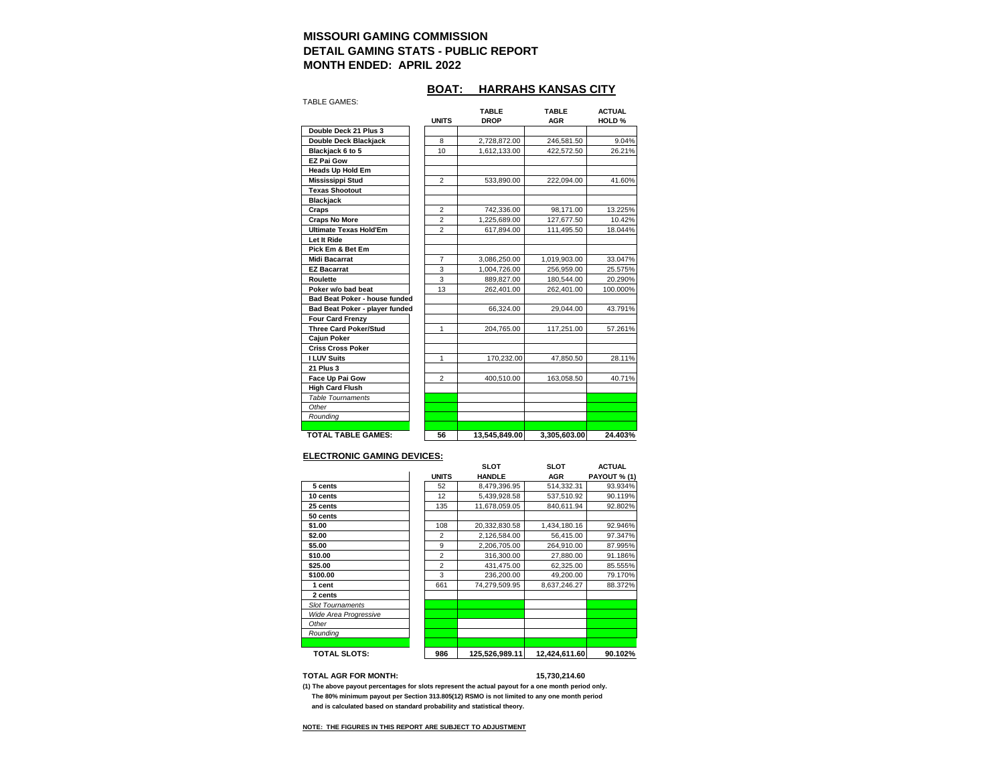## **BOAT: HARRAHS KANSAS CITY**

| TABLE GAMES:                         |                | <b>TABLE</b>  | <b>TABLE</b> | <b>ACTUAL</b> |
|--------------------------------------|----------------|---------------|--------------|---------------|
|                                      | <b>UNITS</b>   | <b>DROP</b>   | <b>AGR</b>   | HOLD %        |
| Double Deck 21 Plus 3                |                |               |              |               |
| Double Deck Blackjack                | 8              | 2,728,872.00  | 246,581.50   | 9.04%         |
| Blackjack 6 to 5                     | 10             | 1,612,133.00  | 422,572.50   | 26.21%        |
| <b>EZ Pai Gow</b>                    |                |               |              |               |
| <b>Heads Up Hold Em</b>              |                |               |              |               |
| <b>Mississippi Stud</b>              | $\overline{2}$ | 533,890.00    | 222,094.00   | 41.60%        |
| <b>Texas Shootout</b>                |                |               |              |               |
| <b>Blackjack</b>                     |                |               |              |               |
| Craps                                | $\overline{2}$ | 742.336.00    | 98.171.00    | 13.225%       |
| <b>Craps No More</b>                 | $\overline{2}$ | 1,225,689.00  | 127,677.50   | 10.42%        |
| <b>Ultimate Texas Hold'Em</b>        | $\overline{2}$ | 617,894.00    | 111,495.50   | 18.044%       |
| Let It Ride                          |                |               |              |               |
| Pick Em & Bet Em                     |                |               |              |               |
| <b>Midi Bacarrat</b>                 | $\overline{7}$ | 3,086,250.00  | 1,019,903.00 | 33.047%       |
| <b>EZ Bacarrat</b>                   | 3              | 1,004,726.00  | 256,959.00   | 25.575%       |
| Roulette                             | 3              | 889,827.00    | 180,544.00   | 20.290%       |
| Poker w/o bad beat                   | 13             | 262.401.00    | 262,401.00   | 100.000%      |
| <b>Bad Beat Poker - house funded</b> |                |               |              |               |
| Bad Beat Poker - player funded       |                | 66,324.00     | 29,044.00    | 43.791%       |
| <b>Four Card Frenzy</b>              |                |               |              |               |
| <b>Three Card Poker/Stud</b>         | 1              | 204,765.00    | 117.251.00   | 57.261%       |
| <b>Cajun Poker</b>                   |                |               |              |               |
| <b>Criss Cross Poker</b>             |                |               |              |               |
| <b>I LUV Suits</b>                   | 1              | 170,232.00    | 47,850.50    | 28.11%        |
| <b>21 Plus 3</b>                     |                |               |              |               |
| Face Up Pai Gow                      | $\overline{2}$ | 400,510.00    | 163,058.50   | 40.71%        |
| <b>High Card Flush</b>               |                |               |              |               |
| <b>Table Tournaments</b>             |                |               |              |               |
| Other                                |                |               |              |               |
| Rounding                             |                |               |              |               |
|                                      |                |               |              |               |
| <b>TOTAL TABLE GAMES:</b>            | 56             | 13,545,849.00 | 3,305,603.00 | 24.403%       |

#### **ELECTRONIC GAMING DEVICES:**

|                         |                | <b>SLOT</b>    | <b>SLOT</b>   | <b>ACTUAL</b>       |
|-------------------------|----------------|----------------|---------------|---------------------|
|                         | <b>UNITS</b>   | <b>HANDLE</b>  | <b>AGR</b>    | <b>PAYOUT % (1)</b> |
| 5 cents                 | 52             | 8,479,396.95   | 514,332.31    | 93.934%             |
| 10 cents                | 12             | 5,439,928.58   | 537,510.92    | 90.119%             |
| 25 cents                | 135            | 11.678.059.05  | 840.611.94    | 92.802%             |
| 50 cents                |                |                |               |                     |
| \$1.00                  | 108            | 20,332,830.58  | 1,434,180.16  | 92.946%             |
| \$2.00                  | $\overline{2}$ | 2,126,584.00   | 56,415.00     | 97.347%             |
| \$5.00                  | 9              | 2,206,705.00   | 264.910.00    | 87.995%             |
| \$10.00                 | $\overline{2}$ | 316,300.00     | 27,880.00     | 91.186%             |
| \$25.00                 | $\overline{2}$ | 431,475.00     | 62,325.00     | 85.555%             |
| \$100.00                | 3              | 236,200.00     | 49,200.00     | 79.170%             |
| 1 cent                  | 661            | 74.279.509.95  | 8.637.246.27  | 88.372%             |
| 2 cents                 |                |                |               |                     |
| <b>Slot Tournaments</b> |                |                |               |                     |
| Wide Area Progressive   |                |                |               |                     |
| Other                   |                |                |               |                     |
| Rounding                |                |                |               |                     |
| <b>TOTAL SLOTS:</b>     | 986            | 125,526,989.11 | 12.424.611.60 | 90.102%             |

#### **TOTAL AGR FOR MONTH: 15,730,214.60**

**(1) The above payout percentages for slots represent the actual payout for a one month period only. The 80% minimum payout per Section 313.805(12) RSMO is not limited to any one month period and is calculated based on standard probability and statistical theory.**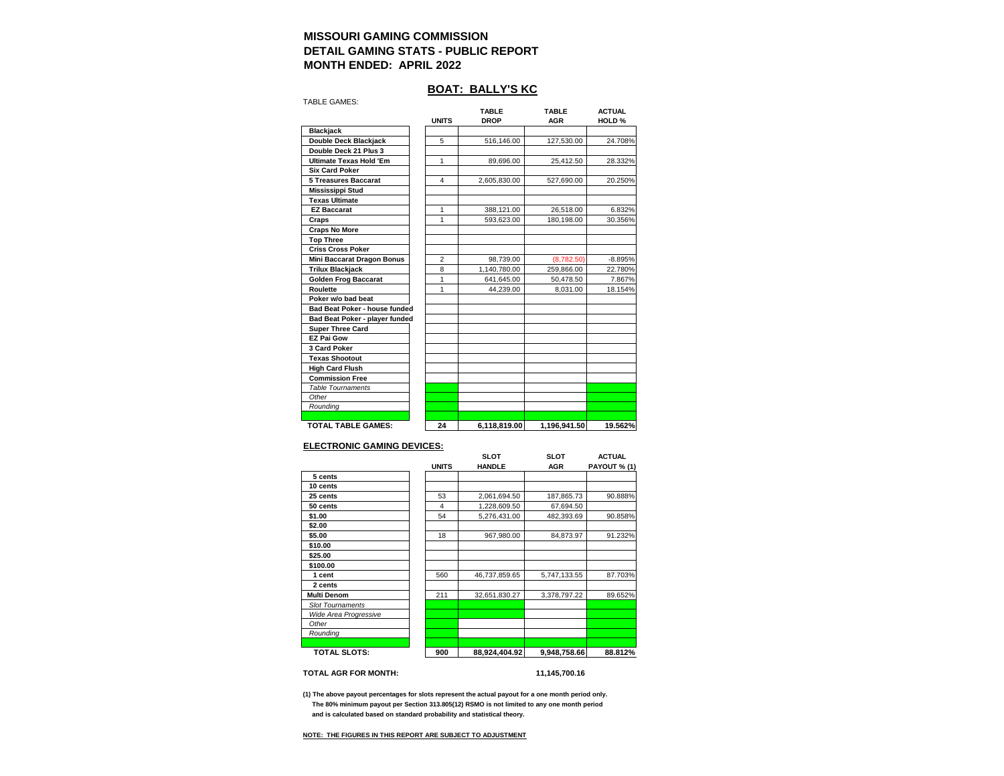## **BOAT: BALLY'S KC**

| <b>TABLE GAMES:</b>               |                         | <b>TABLE</b> | <b>TABLE</b> | <b>ACTUAL</b> |
|-----------------------------------|-------------------------|--------------|--------------|---------------|
|                                   | <b>UNITS</b>            | <b>DROP</b>  | <b>AGR</b>   | HOLD %        |
| <b>Blackjack</b>                  |                         |              |              |               |
| Double Deck Blackjack             | 5                       | 516,146.00   | 127,530.00   | 24.708%       |
| Double Deck 21 Plus 3             |                         |              |              |               |
| <b>Ultimate Texas Hold 'Em</b>    | 1                       | 89,696.00    | 25,412.50    | 28.332%       |
| <b>Six Card Poker</b>             |                         |              |              |               |
| <b>5 Treasures Baccarat</b>       | $\overline{\mathbf{4}}$ | 2,605,830.00 | 527,690.00   | 20.250%       |
| <b>Mississippi Stud</b>           |                         |              |              |               |
| <b>Texas Ultimate</b>             |                         |              |              |               |
| <b>EZ Baccarat</b>                | 1                       | 388,121.00   | 26,518.00    | 6.832%        |
| Craps                             | 1                       | 593,623.00   | 180,198.00   | 30.356%       |
| <b>Craps No More</b>              |                         |              |              |               |
| <b>Top Three</b>                  |                         |              |              |               |
| <b>Criss Cross Poker</b>          |                         |              |              |               |
| <b>Mini Baccarat Dragon Bonus</b> | $\overline{2}$          | 98,739.00    | (8,782.50)   | $-8.895%$     |
| <b>Trilux Blackjack</b>           | 8                       | 1,140,780.00 | 259,866.00   | 22.780%       |
| <b>Golden Frog Baccarat</b>       | 1                       | 641,645.00   | 50,478.50    | 7.867%        |
| Roulette                          | 1                       | 44.239.00    | 8,031.00     | 18.154%       |
| Poker w/o bad beat                |                         |              |              |               |
| Bad Beat Poker - house funded     |                         |              |              |               |
| Bad Beat Poker - player funded    |                         |              |              |               |
| <b>Super Three Card</b>           |                         |              |              |               |
| <b>EZ Pai Gow</b>                 |                         |              |              |               |
| 3 Card Poker                      |                         |              |              |               |
| <b>Texas Shootout</b>             |                         |              |              |               |
| <b>High Card Flush</b>            |                         |              |              |               |
| <b>Commission Free</b>            |                         |              |              |               |
| <b>Table Tournaments</b>          |                         |              |              |               |
| Other                             |                         |              |              |               |
| Rounding                          |                         |              |              |               |
|                                   |                         |              |              |               |
| <b>TOTAL TABLE GAMES:</b>         | 24                      | 6,118,819.00 | 1,196,941.50 | 19.562%       |

#### **ELECTRONIC GAMING DEVICES:**

|                         |              | <b>SLOT</b>   | <b>SLOT</b>  | <b>ACTUAL</b>       |
|-------------------------|--------------|---------------|--------------|---------------------|
|                         | <b>UNITS</b> | <b>HANDLE</b> | <b>AGR</b>   | <b>PAYOUT % (1)</b> |
| 5 cents                 |              |               |              |                     |
| 10 cents                |              |               |              |                     |
| 25 cents                | 53           | 2,061,694.50  | 187,865.73   | 90.888%             |
| 50 cents                | 4            | 1,228,609.50  | 67.694.50    |                     |
| \$1.00                  | 54           | 5,276,431.00  | 482.393.69   | 90.858%             |
| \$2.00                  |              |               |              |                     |
| \$5.00                  | 18           | 967,980.00    | 84,873.97    | 91.232%             |
| \$10.00                 |              |               |              |                     |
| \$25.00                 |              |               |              |                     |
| \$100.00                |              |               |              |                     |
| 1 cent                  | 560          | 46,737,859.65 | 5,747,133.55 | 87.703%             |
| 2 cents                 |              |               |              |                     |
| <b>Multi Denom</b>      | 211          | 32,651,830.27 | 3,378,797.22 | 89.652%             |
| <b>Slot Tournaments</b> |              |               |              |                     |
| Wide Area Progressive   |              |               |              |                     |
| Other                   |              |               |              |                     |
| Rounding                |              |               |              |                     |
|                         |              |               |              |                     |
| <b>TOTAL SLOTS:</b>     | 900          | 88,924,404.92 | 9.948.758.66 | 88.812%             |

**TOTAL AGR FOR MONTH: 11,145,700.16**

**(1) The above payout percentages for slots represent the actual payout for a one month period only. The 80% minimum payout per Section 313.805(12) RSMO is not limited to any one month period and is calculated based on standard probability and statistical theory.**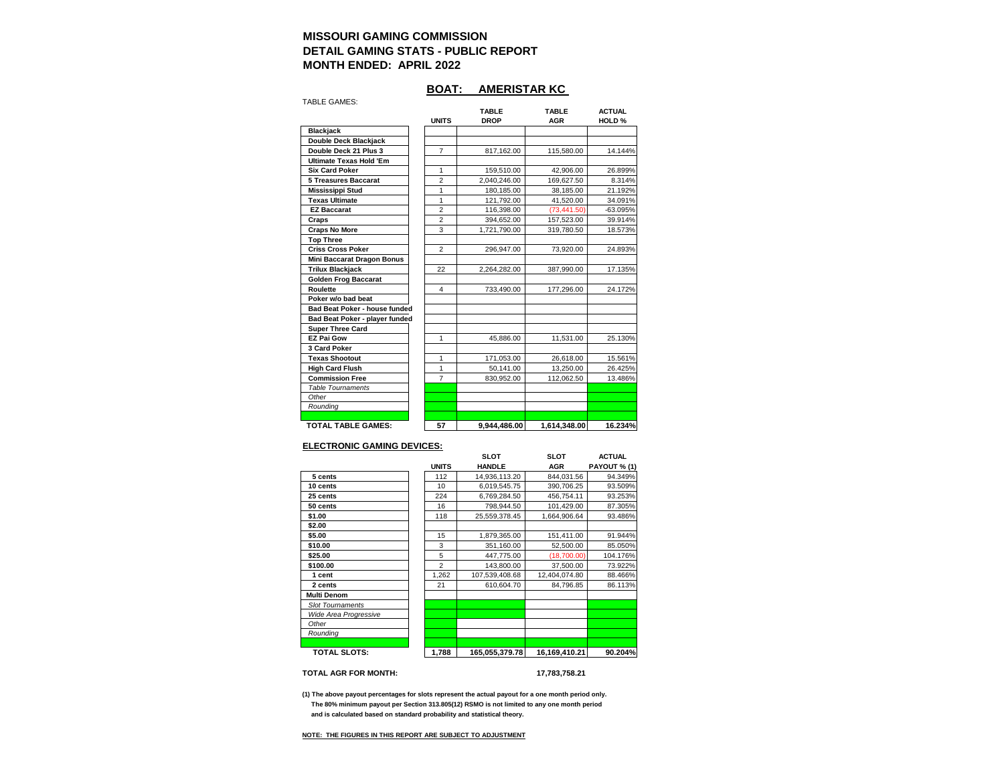## **BOAT: AMERISTAR KC**

| <b>TABLE GAMES</b> |  |  |
|--------------------|--|--|
|                    |  |  |

| <b>TABLE GAMES:</b>                  |                         |              |              |                   |
|--------------------------------------|-------------------------|--------------|--------------|-------------------|
|                                      |                         | <b>TABLE</b> | <b>TABLE</b> | <b>ACTUAL</b>     |
|                                      | <b>UNITS</b>            | <b>DROP</b>  | <b>AGR</b>   | HOLD <sub>%</sub> |
| <b>Blackjack</b>                     |                         |              |              |                   |
| Double Deck Blackjack                |                         |              |              |                   |
| Double Deck 21 Plus 3                | $\overline{7}$          | 817,162.00   | 115,580.00   | 14.144%           |
| <b>Ultimate Texas Hold 'Em</b>       |                         |              |              |                   |
| <b>Six Card Poker</b>                | 1                       | 159,510.00   | 42,906.00    | 26.899%           |
| <b>5 Treasures Baccarat</b>          | $\overline{2}$          | 2,040,246.00 | 169,627.50   | 8.314%            |
| <b>Mississippi Stud</b>              | 1                       | 180,185.00   | 38,185.00    | 21.192%           |
| <b>Texas Ultimate</b>                | 1                       | 121,792.00   | 41,520.00    | 34.091%           |
| <b>EZ Baccarat</b>                   | $\overline{2}$          | 116,398.00   | (73, 441.50) | -63.095%          |
| Craps                                | $\overline{2}$          | 394,652.00   | 157,523.00   | 39.914%           |
| <b>Craps No More</b>                 | 3                       | 1,721,790.00 | 319,780.50   | 18.573%           |
| <b>Top Three</b>                     |                         |              |              |                   |
| <b>Criss Cross Poker</b>             | $\overline{2}$          | 296,947.00   | 73,920.00    | 24.893%           |
| <b>Mini Baccarat Dragon Bonus</b>    |                         |              |              |                   |
| <b>Trilux Blackjack</b>              | 22                      | 2,264,282.00 | 387,990.00   | 17.135%           |
| <b>Golden Frog Baccarat</b>          |                         |              |              |                   |
| Roulette                             | $\overline{\mathbf{4}}$ | 733,490.00   | 177,296.00   | 24.172%           |
| Poker w/o bad beat                   |                         |              |              |                   |
| <b>Bad Beat Poker - house funded</b> |                         |              |              |                   |
| Bad Beat Poker - player funded       |                         |              |              |                   |
| <b>Super Three Card</b>              |                         |              |              |                   |
| <b>EZ Pai Gow</b>                    | $\mathbf{1}$            | 45,886.00    | 11,531.00    | 25.130%           |
| 3 Card Poker                         |                         |              |              |                   |
| <b>Texas Shootout</b>                | 1                       | 171,053.00   | 26,618.00    | 15.561%           |
| <b>High Card Flush</b>               | 1                       | 50,141.00    | 13,250.00    | 26.425%           |
| <b>Commission Free</b>               | $\overline{7}$          | 830,952.00   | 112,062.50   | 13.486%           |
| <b>Table Tournaments</b>             |                         |              |              |                   |
| Other                                |                         |              |              |                   |
| Rounding                             |                         |              |              |                   |
|                                      |                         |              |              |                   |
| <b>TOTAL TABLE GAMES:</b>            | 57                      | 9,944,486.00 | 1,614,348.00 | 16.234%           |

#### **ELECTRONIC GAMING DEVICES:**

M.

|                         |                | <b>SLOT</b>    | <b>SLOT</b>   | <b>ACTUAL</b>       |
|-------------------------|----------------|----------------|---------------|---------------------|
|                         | <b>UNITS</b>   | <b>HANDLE</b>  | <b>AGR</b>    | <b>PAYOUT % (1)</b> |
| 5 cents                 | 112            | 14,936,113.20  | 844,031.56    | 94.349%             |
| 10 cents                | 10             | 6,019,545.75   | 390,706.25    | 93.509%             |
| 25 cents                | 224            | 6,769,284.50   | 456,754.11    | 93.253%             |
| 50 cents                | 16             | 798.944.50     | 101,429.00    | 87.305%             |
| \$1.00                  | 118            | 25.559.378.45  | 1.664.906.64  | 93.486%             |
| \$2.00                  |                |                |               |                     |
| \$5.00                  | 15             | 1,879,365.00   | 151,411.00    | 91.944%             |
| \$10.00                 | 3              | 351,160.00     | 52.500.00     | 85.050%             |
| \$25.00                 | 5              | 447.775.00     | (18.700.00)   | 104.176%            |
| \$100.00                | $\overline{2}$ | 143.800.00     | 37,500.00     | 73.922%             |
| 1 cent                  | 1,262          | 107,539,408.68 | 12,404,074.80 | 88.466%             |
| 2 cents                 | 21             | 610.604.70     | 84.796.85     | 86.113%             |
| <b>Multi Denom</b>      |                |                |               |                     |
| <b>Slot Tournaments</b> |                |                |               |                     |
| Wide Area Progressive   |                |                |               |                     |
| Other                   |                |                |               |                     |
| Rounding                |                |                |               |                     |
|                         |                |                |               |                     |
| <b>TOTAL SLOTS:</b>     | 1,788          | 165,055,379.78 | 16,169,410.21 | 90.204%             |

**TOTAL AGR FOR MONTH: 17,783,758.21**

**(1) The above payout percentages for slots represent the actual payout for a one month period only. The 80% minimum payout per Section 313.805(12) RSMO is not limited to any one month period and is calculated based on standard probability and statistical theory.**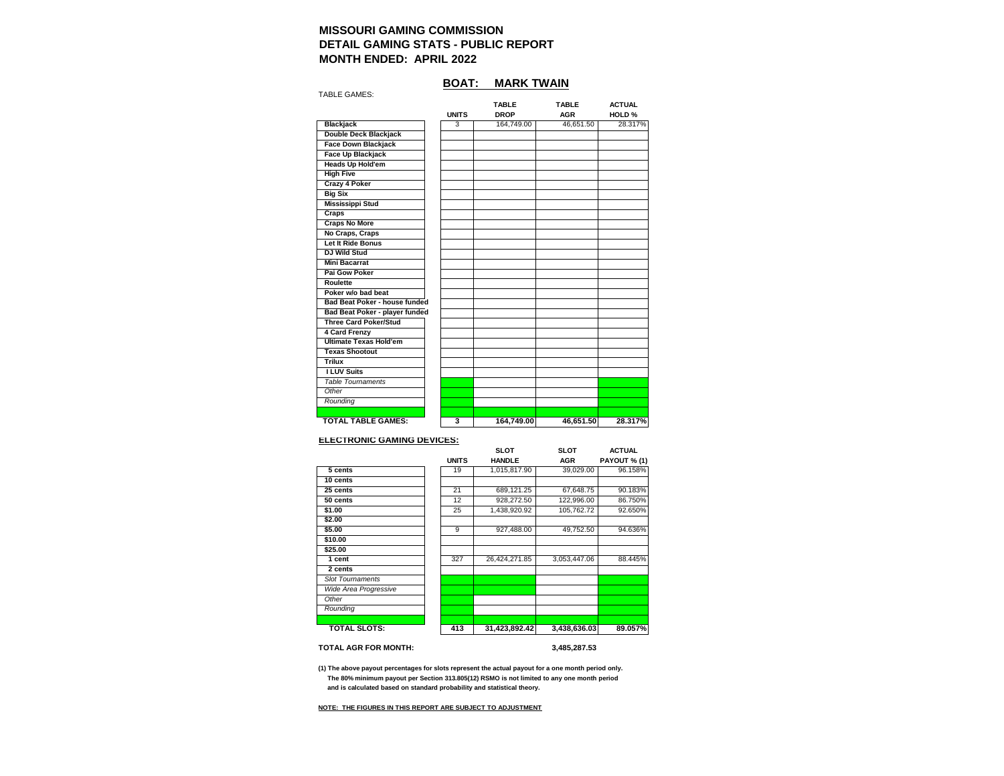### **BOAT: MARK TWAIN**

TABLE GAMES: **TABLE TABLE ACTUAL UNITS DROP AGR HOLD % Blackjack** 3 164,749.00  **Double Deck Blackjack Face Down Blackjack Face Up Blackjack Heads Up Hold'em High Five Crazy 4 Poker Big Six Mississippi Stud Craps Craps No More No Craps, Craps Let It Ride Bonus DJ Wild Stud Mini Bacarrat Pai Gow Poker Roulette Poker w/o bad beat Bad Beat Poker - house funded Bad Beat Poker - player funded Three Card Poker/Stud 4 Card Frenzy Ultimate Texas Hold'em Texas Shootout Trilux I LUV Suits**  *Table Tournaments Other Rounding*  **TOTAL TABLE GAMES: 3 164,749.00 46,651.50 28.317%**

#### **ELECTRONIC GAMING DEVICES:**

|                         |              | <b>SLOT</b>   | SLOT         | <b>ACTUAL</b> |
|-------------------------|--------------|---------------|--------------|---------------|
|                         | <b>UNITS</b> | <b>HANDLE</b> | <b>AGR</b>   | PAYOUT % (1)  |
| 5 cents                 | 19           | 1,015,817.90  | 39,029.00    | 96.158%       |
| 10 cents                |              |               |              |               |
| 25 cents                | 21           | 689,121.25    | 67.648.75    | 90.183%       |
| 50 cents                | 12           | 928,272.50    | 122,996.00   | 86.750%       |
| \$1.00                  | 25           | 1,438,920.92  | 105.762.72   | 92.650%       |
| \$2.00                  |              |               |              |               |
| \$5.00                  | 9            | 927,488.00    | 49,752.50    | 94.636%       |
| \$10.00                 |              |               |              |               |
| \$25.00                 |              |               |              |               |
| 1 cent                  | 327          | 26,424,271.85 | 3,053,447.06 | 88.445%       |
| 2 cents                 |              |               |              |               |
| <b>Slot Tournaments</b> |              |               |              |               |
| Wide Area Progressive   |              |               |              |               |
| Other                   |              |               |              |               |
| Rounding                |              |               |              |               |
|                         |              |               |              |               |
| TOTAL SLOTS:            | 413          | 31,423,892.42 | 3,438,636.03 | 89.057%       |

**TOTAL AGR FOR MONTH: 3,485,287.53**

**(1) The above payout percentages for slots represent the actual payout for a one month period only. The 80% minimum payout per Section 313.805(12) RSMO is not limited to any one month period and is calculated based on standard probability and statistical theory.**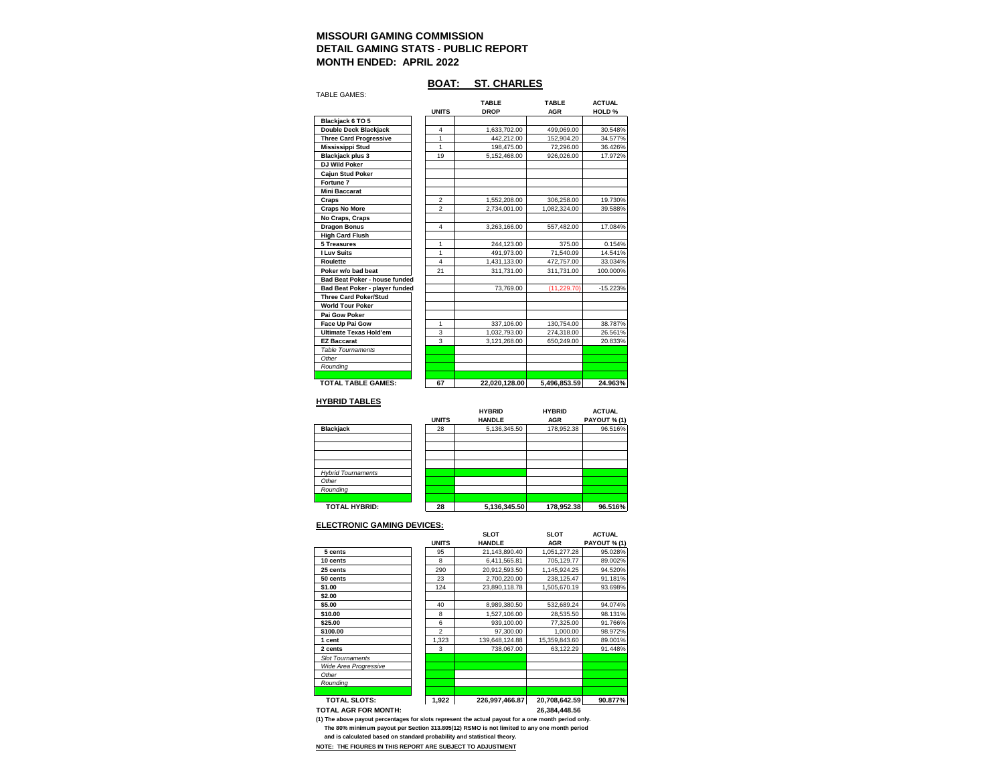## **BOAT: ST. CHARLES**

| <b>TABLE GAMES:</b>                  |                |               |              |               |
|--------------------------------------|----------------|---------------|--------------|---------------|
|                                      |                | <b>TABLE</b>  | <b>TABLE</b> | <b>ACTUAL</b> |
|                                      | <b>UNITS</b>   | <b>DROP</b>   | <b>AGR</b>   | HOLD %        |
| Blackjack 6 TO 5                     |                |               |              |               |
| Double Deck Blackjack                | 4              | 1,633,702.00  | 499,069.00   | 30.548%       |
| <b>Three Card Progressive</b>        | 1              | 442,212.00    | 152,904.20   | 34.577%       |
| <b>Mississippi Stud</b>              | 1              | 198,475.00    | 72,296.00    | 36.426%       |
| <b>Blackjack plus 3</b>              | 19             | 5,152,468.00  | 926,026.00   | 17.972%       |
| DJ Wild Poker                        |                |               |              |               |
| <b>Cajun Stud Poker</b>              |                |               |              |               |
| Fortune 7                            |                |               |              |               |
| <b>Mini Baccarat</b>                 |                |               |              |               |
| Craps                                | $\overline{2}$ | 1.552.208.00  | 306,258.00   | 19.730%       |
| <b>Craps No More</b>                 | $\overline{2}$ | 2,734,001.00  | 1,082,324.00 | 39.588%       |
| No Craps, Craps                      |                |               |              |               |
| <b>Dragon Bonus</b>                  | $\overline{4}$ | 3,263,166.00  | 557,482.00   | 17.084%       |
| <b>High Card Flush</b>               |                |               |              |               |
| 5 Treasures                          | 1              | 244,123.00    | 375.00       | 0.154%        |
| <b>I Luv Suits</b>                   | 1              | 491,973.00    | 71,540.09    | 14.541%       |
| Roulette                             | 4              | 1,431,133.00  | 472,757.00   | 33.034%       |
| Poker w/o bad beat                   | 21             | 311,731.00    | 311,731.00   | 100.000%      |
| <b>Bad Beat Poker - house funded</b> |                |               |              |               |
| Bad Beat Poker - player funded       |                | 73,769.00     | (11, 229.70) | $-15.223%$    |
| <b>Three Card Poker/Stud</b>         |                |               |              |               |
| <b>World Tour Poker</b>              |                |               |              |               |
| Pai Gow Poker                        |                |               |              |               |
| Face Up Pai Gow                      | 1              | 337,106.00    | 130,754.00   | 38.787%       |
| <b>Ultimate Texas Hold'em</b>        | 3              | 1.032.793.00  | 274.318.00   | 26.561%       |
| <b>EZ Baccarat</b>                   | 3              | 3,121,268.00  | 650,249.00   | 20.833%       |
| <b>Table Tournaments</b>             |                |               |              |               |
| Other                                |                |               |              |               |
| Rounding                             |                |               |              |               |
|                                      |                |               |              |               |
| <b>TOTAL TABLE GAMES:</b>            | 67             | 22,020,128.00 | 5.496.853.59 | 24.963%       |

#### **HYBRID TABLES**

|                           |              | <b>HYBRID</b> | <b>HYBRID</b> | <b>ACTUAL</b> |
|---------------------------|--------------|---------------|---------------|---------------|
|                           | <b>UNITS</b> | <b>HANDLE</b> | <b>AGR</b>    | PAYOUT % (1)  |
| <b>Blackjack</b>          | 28           | 5,136,345.50  | 178,952.38    | 96.516%       |
|                           |              |               |               |               |
|                           |              |               |               |               |
|                           |              |               |               |               |
|                           |              |               |               |               |
| <b>Hybrid Tournaments</b> |              |               |               |               |
| Other                     |              |               |               |               |
| Rounding                  |              |               |               |               |
|                           |              |               |               |               |
| <b>TOTAL HYBRID:</b>      | 28           | 5,136,345.50  | 178,952.38    | 96.516%       |

#### **ELECTRONIC GAMING DEVICES:**

|                         |                | <b>SLOT</b>    | <b>SLOT</b>   | <b>ACTUAL</b>       |
|-------------------------|----------------|----------------|---------------|---------------------|
|                         | <b>UNITS</b>   | <b>HANDLE</b>  | <b>AGR</b>    | <b>PAYOUT % (1)</b> |
| 5 cents                 | 95             | 21.143.890.40  | 1,051,277.28  | 95.028%             |
| 10 cents                | 8              | 6,411,565.81   | 705,129.77    | 89.002%             |
| 25 cents                | 290            | 20.912.593.50  | 1.145.924.25  | 94.520%             |
| 50 cents                | 23             | 2.700.220.00   | 238.125.47    | 91.181%             |
| \$1.00                  | 124            | 23,890,118.78  | 1,505,670.19  | 93.698%             |
| \$2.00                  |                |                |               |                     |
| \$5.00                  | 40             | 8,989,380.50   | 532,689.24    | 94.074%             |
| \$10.00                 | 8              | 1,527,106.00   | 28,535.50     | 98.131%             |
| \$25.00                 | 6              | 939.100.00     | 77,325.00     | 91.766%             |
| \$100.00                | $\overline{2}$ | 97,300.00      | 1.000.00      | 98.972%             |
| 1 cent                  | 1,323          | 139,648,124.88 | 15,359,843.60 | 89.001%             |
| 2 cents                 | 3              | 738,067.00     | 63,122.29     | 91.448%             |
| <b>Slot Tournaments</b> |                |                |               |                     |
| Wide Area Progressive   |                |                |               |                     |
| Other                   |                |                |               |                     |
| Rounding                |                |                |               |                     |
|                         |                |                |               |                     |
| <b>TOTAL SLOTS:</b>     | 1,922          | 226,997,466.87 | 20,708,642.59 | 90.877%             |
| TOTAL AGR FOR MONTH:    |                |                | 26.384.448.56 |                     |

**(1) The above payout percentages for slots represent the actual payout for a one month period only. The 80% minimum payout per Section 313.805(12) RSMO is not limited to any one month period and is calculated based on standard probability and statistical theory.**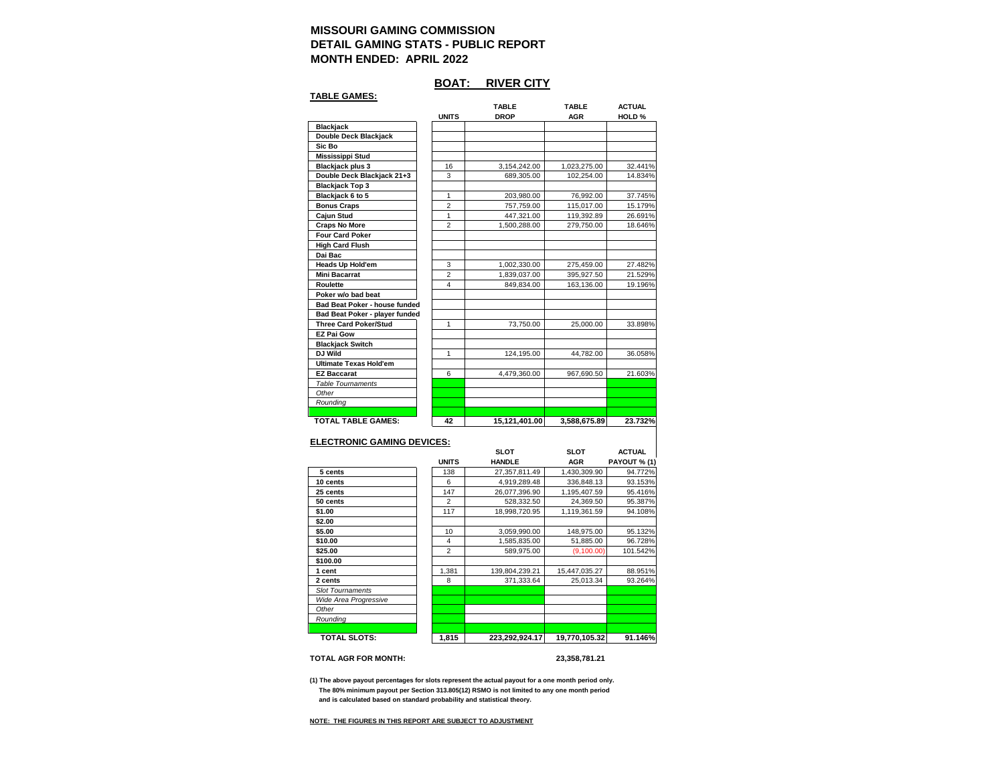## **BOAT: RIVER CITY**

#### **TABLE GAMES:**

|                                      |                | <b>TABLE</b>  | <b>TABLE</b> | <b>ACTUAL</b> |
|--------------------------------------|----------------|---------------|--------------|---------------|
|                                      | <b>UNITS</b>   | <b>DROP</b>   | <b>AGR</b>   | HOLD %        |
| <b>Blackjack</b>                     |                |               |              |               |
| Double Deck Blackjack                |                |               |              |               |
| Sic Bo                               |                |               |              |               |
| <b>Mississippi Stud</b>              |                |               |              |               |
| <b>Blackjack plus 3</b>              | 16             | 3,154,242.00  | 1,023,275.00 | 32.441%       |
| Double Deck Blackjack 21+3           | 3              | 689.305.00    | 102.254.00   | 14.834%       |
| <b>Blackjack Top 3</b>               |                |               |              |               |
| Blackjack 6 to 5                     | 1              | 203,980.00    | 76,992.00    | 37.745%       |
| <b>Bonus Craps</b>                   | $\overline{2}$ | 757,759.00    | 115,017.00   | 15.179%       |
| Cajun Stud                           | 1              | 447,321.00    | 119,392.89   | 26.691%       |
| <b>Craps No More</b>                 | $\overline{2}$ | 1,500,288.00  | 279,750.00   | 18.646%       |
| <b>Four Card Poker</b>               |                |               |              |               |
| <b>High Card Flush</b>               |                |               |              |               |
| Dai Bac                              |                |               |              |               |
| <b>Heads Up Hold'em</b>              | 3              | 1,002,330.00  | 275,459.00   | 27.482%       |
| <b>Mini Bacarrat</b>                 | $\overline{2}$ | 1,839,037.00  | 395,927.50   | 21.529%       |
| <b>Roulette</b>                      | 4              | 849,834.00    | 163,136.00   | 19.196%       |
| Poker w/o bad beat                   |                |               |              |               |
| <b>Bad Beat Poker - house funded</b> |                |               |              |               |
| Bad Beat Poker - player funded       |                |               |              |               |
| <b>Three Card Poker/Stud</b>         | 1              | 73,750.00     | 25,000.00    | 33.898%       |
| <b>EZ Pai Gow</b>                    |                |               |              |               |
| <b>Blackjack Switch</b>              |                |               |              |               |
| DJ Wild                              | 1              | 124,195.00    | 44,782.00    | 36.058%       |
| <b>Ultimate Texas Hold'em</b>        |                |               |              |               |
| <b>EZ Baccarat</b>                   | 6              | 4,479,360.00  | 967,690.50   | 21.603%       |
| <b>Table Tournaments</b>             |                |               |              |               |
| Other                                |                |               |              |               |
| Rounding                             |                |               |              |               |
|                                      |                |               |              |               |
| <b>TOTAL TABLE GAMES:</b>            | 42             | 15,121,401.00 | 3,588,675.89 | 23.732%       |

#### **ELECTRONIC GAMING DEVICES:**

|                         |                | <b>SLOT</b>    | <b>SLOT</b>   | <b>ACTUAL</b>       |
|-------------------------|----------------|----------------|---------------|---------------------|
|                         | <b>UNITS</b>   | <b>HANDLE</b>  | <b>AGR</b>    | <b>PAYOUT % (1)</b> |
| 5 cents                 | 138            | 27,357,811.49  | 1,430,309.90  | 94.772%             |
| 10 cents                | 6              | 4.919.289.48   | 336.848.13    | 93.153%             |
| 25 cents                | 147            | 26.077.396.90  | 1.195.407.59  | 95.416%             |
| 50 cents                | $\overline{2}$ | 528,332.50     | 24,369.50     | 95.387%             |
| \$1.00                  | 117            | 18,998,720.95  | 1,119,361.59  | 94.108%             |
| \$2.00                  |                |                |               |                     |
| \$5.00                  | 10             | 3,059,990.00   | 148,975.00    | 95.132%             |
| \$10.00                 | 4              | 1.585.835.00   | 51,885.00     | 96.728%             |
| \$25.00                 | $\overline{2}$ | 589.975.00     | (9, 100.00)   | 101.542%            |
| \$100.00                |                |                |               |                     |
| 1 cent                  | 1,381          | 139,804,239.21 | 15,447,035.27 | 88.951%             |
| 2 cents                 | 8              | 371.333.64     | 25.013.34     | 93.264%             |
| <b>Slot Tournaments</b> |                |                |               |                     |
| Wide Area Progressive   |                |                |               |                     |
| Other                   |                |                |               |                     |
| Rounding                |                |                |               |                     |
|                         |                |                |               |                     |
| <b>TOTAL SLOTS:</b>     | 1,815          | 223.292.924.17 | 19.770.105.32 | 91.146%             |

**TOTAL AGR FOR MONTH: 23,358,781.21**

**(1) The above payout percentages for slots represent the actual payout for a one month period only. The 80% minimum payout per Section 313.805(12) RSMO is not limited to any one month period and is calculated based on standard probability and statistical theory.**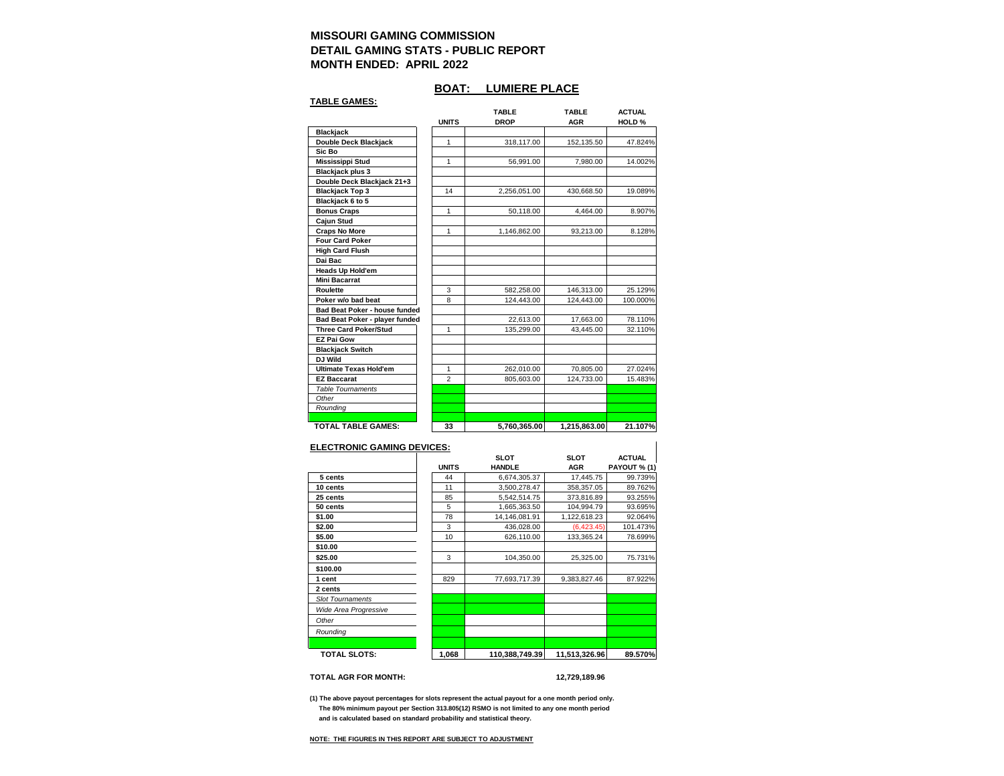#### **BOAT: LUMIERE PLACE**

| <b>TABLE GAMES:</b>            |                |              |              |                   |
|--------------------------------|----------------|--------------|--------------|-------------------|
|                                |                | <b>TABLE</b> | <b>TABLE</b> | <b>ACTUAL</b>     |
|                                | <b>UNITS</b>   | <b>DROP</b>  | <b>AGR</b>   | HOLD <sub>%</sub> |
| <b>Blackjack</b>               |                |              |              |                   |
| Double Deck Blackjack          | 1              | 318,117.00   | 152,135.50   | 47.824%           |
| Sic Bo                         |                |              |              |                   |
| <b>Mississippi Stud</b>        | 1              | 56,991.00    | 7,980.00     | 14.002%           |
| <b>Blackjack plus 3</b>        |                |              |              |                   |
| Double Deck Blackjack 21+3     |                |              |              |                   |
| <b>Blackjack Top 3</b>         | 14             | 2,256,051.00 | 430,668.50   | 19.089%           |
| Blackjack 6 to 5               |                |              |              |                   |
| <b>Bonus Craps</b>             | 1              | 50,118.00    | 4,464.00     | 8.907%            |
| <b>Caiun Stud</b>              |                |              |              |                   |
| <b>Craps No More</b>           | 1              | 1,146,862.00 | 93,213.00    | 8.128%            |
| <b>Four Card Poker</b>         |                |              |              |                   |
| <b>High Card Flush</b>         |                |              |              |                   |
| Dai Bac                        |                |              |              |                   |
| <b>Heads Up Hold'em</b>        |                |              |              |                   |
| <b>Mini Bacarrat</b>           |                |              |              |                   |
| Roulette                       | 3              | 582,258.00   | 146,313.00   | 25.129%           |
| Poker w/o bad beat             | 8              | 124,443.00   | 124,443.00   | 100.000%          |
| Bad Beat Poker - house funded  |                |              |              |                   |
| Bad Beat Poker - player funded |                | 22,613.00    | 17,663.00    | 78.110%           |
| <b>Three Card Poker/Stud</b>   | 1              | 135,299.00   | 43,445.00    | 32.110%           |
| <b>EZ Pai Gow</b>              |                |              |              |                   |
| <b>Blackjack Switch</b>        |                |              |              |                   |
| DJ Wild                        |                |              |              |                   |
| <b>Ultimate Texas Hold'em</b>  | 1              | 262.010.00   | 70.805.00    | 27.024%           |
| <b>EZ Baccarat</b>             | $\overline{2}$ | 805,603.00   | 124,733.00   | 15.483%           |
| <b>Table Tournaments</b>       |                |              |              |                   |
| Other                          |                |              |              |                   |
| Rounding                       |                |              |              |                   |
|                                |                |              |              |                   |
| <b>TOTAL TABLE GAMES:</b>      | 33             | 5,760,365.00 | 1,215,863.00 | 21.107%           |

#### **ELECTRONIC GAMING DEVICES: SLOT SLOT ACTUAL UNITS HANDLE AGR PAYOUT % (1) 5 cents** 44 6,674,305.37 17,445.75 99.739% **10 cents** 11 3,500,278.47 358,357.05 89.762%<br> **25 cents** 25 cents 373,816.89 373,816.89 373,816.89 373,816.89  $5,542,514.75$ **50 cents** 5 1,665,363.50 104,994.79 93.695%<br> **\$1.00** 78 14,146,081.91 1,122,618.23 92.064% **14,146,081.91 \$2.00** 3 436,028.00 (6,423.45) 101.473% **\$5.00** 10 10 626,110.00 133,365.24 78.699%  **\$10.00 \$25.00** 3 104,350.00 25,325.00 75.731%  **\$100.00 1 cent** 829 829 77,693,717.39 9,383,827.46 87.922%  **2 cents**  *Slot Tournaments Wide Area Progressive Other Rounding*  **TOTAL SLOTS: 1,068 110,388,749.39 11,513,326.96 89.570%**

**TOTAL AGR FOR MONTH: 12,729,189.96**

**(1) The above payout percentages for slots represent the actual payout for a one month period only. The 80% minimum payout per Section 313.805(12) RSMO is not limited to any one month period and is calculated based on standard probability and statistical theory.**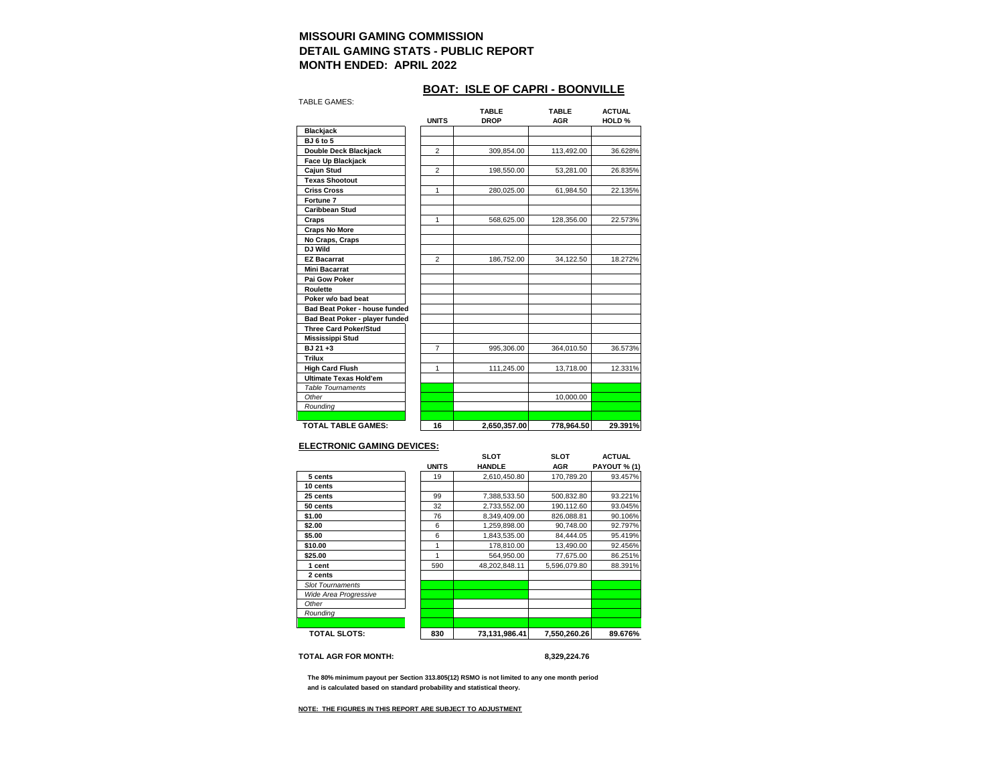## **BOAT: ISLE OF CAPRI - BOONVILLE**

| <b>TABLE GAMES:</b>            |                |                             |                            |                                    |
|--------------------------------|----------------|-----------------------------|----------------------------|------------------------------------|
|                                | <b>UNITS</b>   | <b>TABLE</b><br><b>DROP</b> | <b>TABLE</b><br><b>AGR</b> | <b>ACTUAL</b><br>HOLD <sub>%</sub> |
| <b>Blackjack</b>               |                |                             |                            |                                    |
| <b>BJ</b> 6 to 5               |                |                             |                            |                                    |
| Double Deck Blackjack          | $\overline{2}$ | 309,854.00                  | 113,492.00                 | 36.628%                            |
| Face Up Blackjack              |                |                             |                            |                                    |
| Cajun Stud                     | 2              | 198,550.00                  | 53,281.00                  | 26.835%                            |
| <b>Texas Shootout</b>          |                |                             |                            |                                    |
| <b>Criss Cross</b>             | 1              | 280,025.00                  | 61,984.50                  | 22.135%                            |
| Fortune 7                      |                |                             |                            |                                    |
| <b>Caribbean Stud</b>          |                |                             |                            |                                    |
| Craps                          | 1              | 568,625.00                  | 128,356.00                 | 22.573%                            |
| <b>Craps No More</b>           |                |                             |                            |                                    |
| No Craps, Craps                |                |                             |                            |                                    |
| DJ Wild                        |                |                             |                            |                                    |
| <b>EZ Bacarrat</b>             | $\overline{2}$ | 186,752.00                  | 34,122.50                  | 18.272%                            |
| <b>Mini Bacarrat</b>           |                |                             |                            |                                    |
| Pai Gow Poker                  |                |                             |                            |                                    |
| Roulette                       |                |                             |                            |                                    |
| Poker w/o bad beat             |                |                             |                            |                                    |
| Bad Beat Poker - house funded  |                |                             |                            |                                    |
| Bad Beat Poker - player funded |                |                             |                            |                                    |
| <b>Three Card Poker/Stud</b>   |                |                             |                            |                                    |
| <b>Mississippi Stud</b>        |                |                             |                            |                                    |
| BJ 21+3                        | $\overline{7}$ | 995,306.00                  | 364,010.50                 | 36.573%                            |
| Trilux                         |                |                             |                            |                                    |
| <b>High Card Flush</b>         | 1              | 111,245.00                  | 13,718.00                  | 12.331%                            |
| <b>Ultimate Texas Hold'em</b>  |                |                             |                            |                                    |
| <b>Table Tournaments</b>       |                |                             |                            |                                    |
| Other                          |                |                             | 10,000.00                  |                                    |
| Rounding                       |                |                             |                            |                                    |
|                                |                |                             |                            |                                    |
| <b>TOTAL TABLE GAMES:</b>      | 16             | 2,650,357.00                | 778,964.50                 | 29.391%                            |

#### **ELECTRONIC GAMING DEVICES:**

|                         | <b>UNITS</b> | <b>SLOT</b><br><b>HANDLE</b> | <b>SLOT</b><br><b>AGR</b> | <b>ACTUAL</b><br><b>PAYOUT % (1)</b> |
|-------------------------|--------------|------------------------------|---------------------------|--------------------------------------|
| 5 cents                 | 19           | 2.610.450.80                 | 170.789.20                | 93.457%                              |
| 10 cents                |              |                              |                           |                                      |
| 25 cents                | 99           | 7,388,533.50                 | 500,832.80                | 93.221%                              |
| 50 cents                | 32           | 2,733,552.00                 | 190.112.60                | 93.045%                              |
| \$1.00                  | 76           | 8.349.409.00                 | 826,088.81                | 90.106%                              |
| \$2.00                  | 6            | 1,259,898.00                 | 90.748.00                 | 92.797%                              |
| \$5.00                  | 6            | 1.843.535.00                 | 84.444.05                 | 95.419%                              |
| \$10.00                 | 1            | 178,810.00                   | 13,490.00                 | 92.456%                              |
| \$25.00                 |              | 564,950.00                   | 77,675.00                 | 86.251%                              |
| 1 cent                  | 590          | 48,202,848.11                | 5.596.079.80              | 88.391%                              |
| 2 cents                 |              |                              |                           |                                      |
| <b>Slot Tournaments</b> |              |                              |                           |                                      |
| Wide Area Progressive   |              |                              |                           |                                      |
| Other                   |              |                              |                           |                                      |
| Rounding                |              |                              |                           |                                      |
| <b>TOTAL SLOTS:</b>     | 830          | 73,131,986.41                | 7,550,260.26              | 89.676%                              |

**TOTAL AGR FOR MONTH: 8,329,224.76**

 **The 80% minimum payout per Section 313.805(12) RSMO is not limited to any one month period and is calculated based on standard probability and statistical theory.**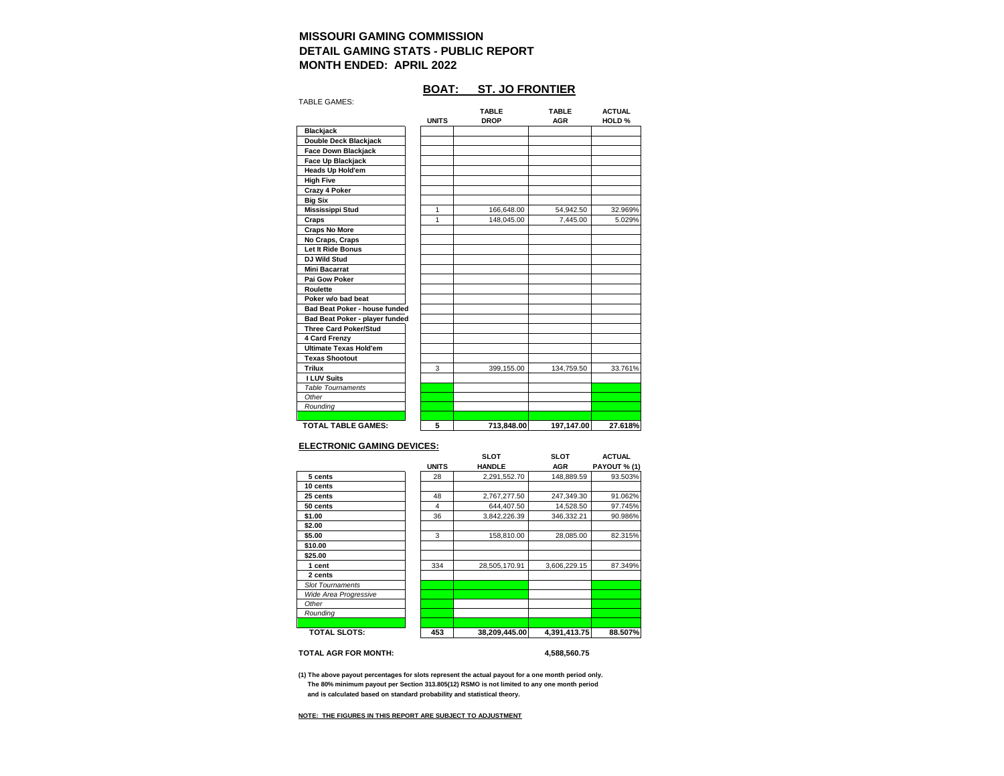## **BOAT: ST. JO FRONTIER**

| <b>TABLE GAMES:</b>            |              |              |              |                   |
|--------------------------------|--------------|--------------|--------------|-------------------|
|                                |              | <b>TABLE</b> | <b>TABLE</b> | <b>ACTUAL</b>     |
|                                | <b>UNITS</b> | <b>DROP</b>  | <b>AGR</b>   | HOLD <sub>%</sub> |
| <b>Blackjack</b>               |              |              |              |                   |
| Double Deck Blackjack          |              |              |              |                   |
| <b>Face Down Blackjack</b>     |              |              |              |                   |
| Face Up Blackjack              |              |              |              |                   |
| <b>Heads Up Hold'em</b>        |              |              |              |                   |
| <b>High Five</b>               |              |              |              |                   |
| Crazy 4 Poker                  |              |              |              |                   |
| <b>Big Six</b>                 |              |              |              |                   |
| Mississippi Stud               | 1            | 166,648.00   | 54,942.50    | 32.969%           |
| Craps                          | 1            | 148,045.00   | 7,445.00     | 5.029%            |
| <b>Craps No More</b>           |              |              |              |                   |
| No Craps, Craps                |              |              |              |                   |
| Let It Ride Bonus              |              |              |              |                   |
| DJ Wild Stud                   |              |              |              |                   |
| <b>Mini Bacarrat</b>           |              |              |              |                   |
| Pai Gow Poker                  |              |              |              |                   |
| Roulette                       |              |              |              |                   |
| Poker w/o bad beat             |              |              |              |                   |
| Bad Beat Poker - house funded  |              |              |              |                   |
| Bad Beat Poker - player funded |              |              |              |                   |
| <b>Three Card Poker/Stud</b>   |              |              |              |                   |
| 4 Card Frenzy                  |              |              |              |                   |
| <b>Ultimate Texas Hold'em</b>  |              |              |              |                   |
| <b>Texas Shootout</b>          |              |              |              |                   |
| Trilux                         | 3            | 399,155.00   | 134,759.50   | 33.761%           |
| <b>I LUV Suits</b>             |              |              |              |                   |
| <b>Table Tournaments</b>       |              |              |              |                   |
| Other                          |              |              |              |                   |
| Rounding                       |              |              |              |                   |
|                                |              |              |              |                   |
| <b>TOTAL TABLE GAMES:</b>      | 5            | 713,848.00   | 197,147.00   | 27.618%           |

#### **ELECTRONIC GAMING DEVICES:**

|                         |              | <b>SLOT</b>   | <b>SLOT</b>  | <b>ACTUAL</b>       |
|-------------------------|--------------|---------------|--------------|---------------------|
|                         | <b>UNITS</b> | <b>HANDLE</b> | <b>AGR</b>   | <b>PAYOUT % (1)</b> |
| 5 cents                 | 28           | 2,291,552.70  | 148.889.59   | 93.503%             |
| 10 cents                |              |               |              |                     |
| 25 cents                | 48           | 2,767,277.50  | 247,349.30   | 91.062%             |
| 50 cents                | 4            | 644,407.50    | 14,528.50    | 97.745%             |
| \$1.00                  | 36           | 3,842,226.39  | 346,332.21   | 90.986%             |
| \$2.00                  |              |               |              |                     |
| \$5.00                  | 3            | 158,810.00    | 28,085.00    | 82.315%             |
| \$10.00                 |              |               |              |                     |
| \$25.00                 |              |               |              |                     |
| 1 cent                  | 334          | 28,505,170.91 | 3,606,229.15 | 87.349%             |
| 2 cents                 |              |               |              |                     |
| <b>Slot Tournaments</b> |              |               |              |                     |
| Wide Area Progressive   |              |               |              |                     |
| Other                   |              |               |              |                     |
| Rounding                |              |               |              |                     |
|                         |              |               |              |                     |
| <b>TOTAL SLOTS:</b>     | 453          | 38,209,445.00 | 4,391,413.75 | 88.507%             |

**TOTAL AGR FOR MONTH: 4,588,560.75**

**(1) The above payout percentages for slots represent the actual payout for a one month period only. The 80% minimum payout per Section 313.805(12) RSMO is not limited to any one month period and is calculated based on standard probability and statistical theory.**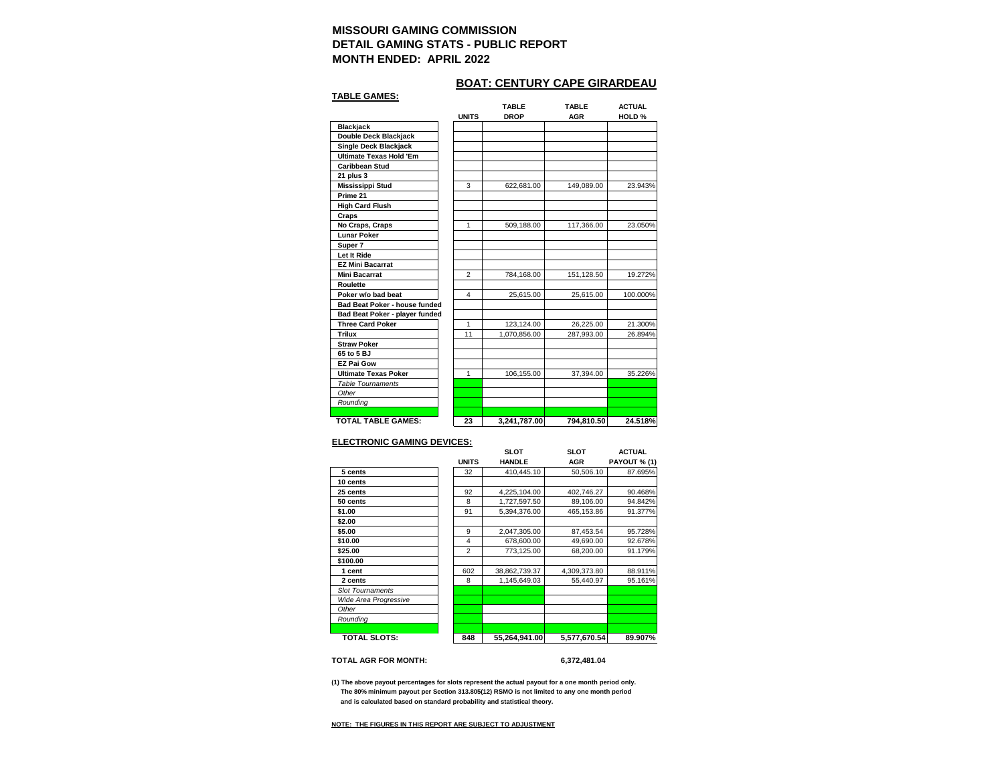## **BOAT: CENTURY CAPE GIRARDEAU**

| <b>TABLE GAMES:</b>            |                |              |              |               |
|--------------------------------|----------------|--------------|--------------|---------------|
|                                |                | <b>TABLE</b> | <b>TABLE</b> | <b>ACTUAL</b> |
|                                | <b>UNITS</b>   | <b>DROP</b>  | <b>AGR</b>   | HOLD %        |
| <b>Blackjack</b>               |                |              |              |               |
| Double Deck Blackjack          |                |              |              |               |
| Single Deck Blackjack          |                |              |              |               |
| <b>Ultimate Texas Hold 'Em</b> |                |              |              |               |
| Caribbean Stud                 |                |              |              |               |
| 21 plus 3                      |                |              |              |               |
| <b>Mississippi Stud</b>        | 3              | 622,681.00   | 149,089.00   | 23.943%       |
| Prime 21                       |                |              |              |               |
| <b>High Card Flush</b>         |                |              |              |               |
| Craps                          |                |              |              |               |
| No Craps, Craps                | 1              | 509,188.00   | 117,366.00   | 23.050%       |
| <b>Lunar Poker</b>             |                |              |              |               |
| Super 7                        |                |              |              |               |
| Let It Ride                    |                |              |              |               |
| <b>EZ Mini Bacarrat</b>        |                |              |              |               |
| <b>Mini Bacarrat</b>           | $\overline{2}$ | 784,168.00   | 151,128.50   | 19.272%       |
| Roulette                       |                |              |              |               |
| Poker w/o bad beat             | 4              | 25,615.00    | 25,615.00    | 100.000%      |
| Bad Beat Poker - house funded  |                |              |              |               |
| Bad Beat Poker - player funded |                |              |              |               |
| <b>Three Card Poker</b>        | $\mathbf{1}$   | 123,124.00   | 26,225.00    | 21.300%       |
| Trilux                         | 11             | 1,070,856.00 | 287,993.00   | 26.894%       |
| <b>Straw Poker</b>             |                |              |              |               |
| 65 to 5 BJ                     |                |              |              |               |
| <b>EZ Pai Gow</b>              |                |              |              |               |
| <b>Ultimate Texas Poker</b>    | $\mathbf{1}$   | 106,155.00   | 37,394.00    | 35.226%       |
| <b>Table Tournaments</b>       |                |              |              |               |
| Other                          |                |              |              |               |
| Rounding                       |                |              |              |               |
|                                |                |              |              |               |
| <b>TOTAL TABLE GAMES:</b>      | 23             | 3,241,787.00 | 794,810.50   | 24.518%       |

#### **ELECTRONIC GAMING DEVICES:**

|                         |                | <b>SLOT</b>   | <b>SLOT</b>  | <b>ACTUAL</b>       |
|-------------------------|----------------|---------------|--------------|---------------------|
|                         | <b>UNITS</b>   | <b>HANDLE</b> | <b>AGR</b>   | <b>PAYOUT % (1)</b> |
| 5 cents                 | 32             | 410.445.10    | 50.506.10    | 87.695%             |
| 10 cents                |                |               |              |                     |
| 25 cents                | 92             | 4,225,104.00  | 402,746.27   | 90.468%             |
| 50 cents                | 8              | 1.727.597.50  | 89.106.00    | 94.842%             |
| \$1.00                  | 91             | 5,394,376.00  | 465,153.86   | 91.377%             |
| \$2.00                  |                |               |              |                     |
| \$5.00                  | 9              | 2.047.305.00  | 87.453.54    | 95.728%             |
| \$10.00                 | $\overline{4}$ | 678.600.00    | 49.690.00    | 92.678%             |
| \$25.00                 | $\overline{2}$ | 773.125.00    | 68.200.00    | 91.179%             |
| \$100.00                |                |               |              |                     |
| 1 cent                  | 602            | 38,862,739.37 | 4,309,373.80 | 88.911%             |
| 2 cents                 | 8              | 1.145.649.03  | 55.440.97    | 95.161%             |
| <b>Slot Tournaments</b> |                |               |              |                     |
| Wide Area Progressive   |                |               |              |                     |
| Other                   |                |               |              |                     |
| Rounding                |                |               |              |                     |
|                         |                |               |              |                     |
| <b>TOTAL SLOTS:</b>     | 848            | 55.264.941.00 | 5.577.670.54 | 89.907%             |

**TOTAL AGR FOR MONTH: 6,372,481.04**

**(1) The above payout percentages for slots represent the actual payout for a one month period only. The 80% minimum payout per Section 313.805(12) RSMO is not limited to any one month period and is calculated based on standard probability and statistical theory.**